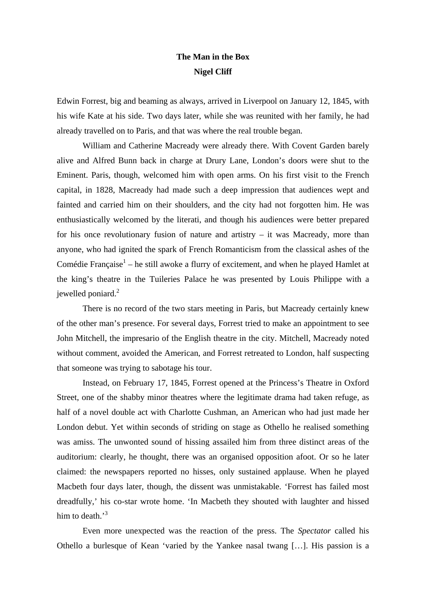# **The Man in the Box Nigel Cliff**

Edwin Forrest, big and beaming as always, arrived in Liverpool on January 12, 1845, with his wife Kate at his side. Two days later, while she was reunited with her family, he had already travelled on to Paris, and that was where the real trouble began.

William and Catherine Macready were already there. With Covent Garden barely alive and Alfred Bunn back in charge at Drury Lane, London's doors were shut to the Eminent. Paris, though, welcomed him with open arms. On his first visit to the French capital, in 1828, Macready had made such a deep impression that audiences wept and fainted and carried him on their shoulders, and the city had not forgotten him. He was enthusiastically welcomed by the literati, and though his audiences were better prepared for his once revolutionary fusion of nature and artistry – it was Macready, more than anyone, who had ignited the spark of French Romanticism from the classical ashes of the Comédie Française<sup>1</sup> – he still awoke a flurry of excitement, and when he played Hamlet at the king's theatre in the Tuileries Palace he was presented by Louis Philippe with a jewelled poniard.<sup>2</sup>

There is no record of the two stars meeting in Paris, but Macready certainly knew of the other man's presence. For several days, Forrest tried to make an appointment to see John Mitchell, the impresario of the English theatre in the city. Mitchell, Macready noted without comment, avoided the American, and Forrest retreated to London, half suspecting that someone was trying to sabotage his tour.

 Instead, on February 17, 1845, Forrest opened at the Princess's Theatre in Oxford Street, one of the shabby minor theatres where the legitimate drama had taken refuge, as half of a novel double act with Charlotte Cushman, an American who had just made her London debut. Yet within seconds of striding on stage as Othello he realised something was amiss. The unwonted sound of hissing assailed him from three distinct areas of the auditorium: clearly, he thought, there was an organised opposition afoot. Or so he later claimed: the newspapers reported no hisses, only sustained applause. When he played Macbeth four days later, though, the dissent was unmistakable. 'Forrest has failed most dreadfully,' his co-star wrote home. 'In Macbeth they shouted with laughter and hissed him to death. $3<sup>3</sup>$ 

Even more unexpected was the reaction of the press. The *Spectator* called his Othello a burlesque of Kean 'varied by the Yankee nasal twang […]. His passion is a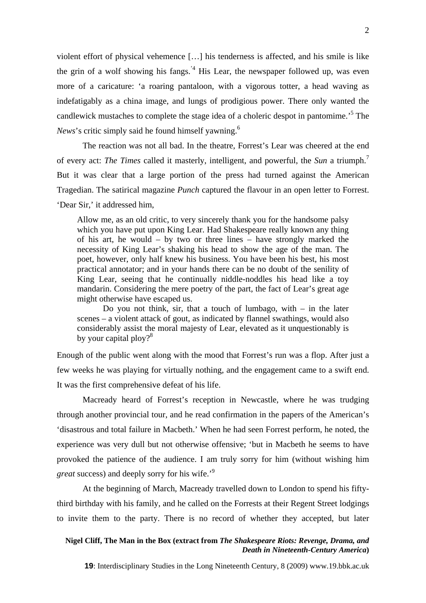violent effort of physical vehemence […] his tenderness is affected, and his smile is like the grin of a wolf showing his fangs.<sup> $4$ </sup> His Lear, the newspaper followed up, was even more of a caricature: 'a roaring pantaloon, with a vigorous totter, a head waving as indefatigably as a china image, and lungs of prodigious power. There only wanted the candlewick mustaches to complete the stage idea of a choleric despot in pantomime.'5 The *News*'s critic simply said he found himself yawning.<sup>6</sup>

The reaction was not all bad. In the theatre, Forrest's Lear was cheered at the end of every act: *The Times* called it masterly, intelligent, and powerful, the *Sun* a triumph.<sup>7</sup> But it was clear that a large portion of the press had turned against the American Tragedian. The satirical magazine *Punch* captured the flavour in an open letter to Forrest. 'Dear Sir,' it addressed him,

Allow me, as an old critic, to very sincerely thank you for the handsome palsy which you have put upon King Lear. Had Shakespeare really known any thing of his art, he would – by two or three lines – have strongly marked the necessity of King Lear's shaking his head to show the age of the man. The poet, however, only half knew his business. You have been his best, his most practical annotator; and in your hands there can be no doubt of the senility of King Lear, seeing that he continually niddle-noddles his head like a toy mandarin. Considering the mere poetry of the part, the fact of Lear's great age might otherwise have escaped us.

Do you not think, sir, that a touch of lumbago, with  $-$  in the later scenes – a violent attack of gout, as indicated by flannel swathings, would also considerably assist the moral majesty of Lear, elevated as it unquestionably is by your capital  $\text{ploy?}^8$ 

Enough of the public went along with the mood that Forrest's run was a flop. After just a few weeks he was playing for virtually nothing, and the engagement came to a swift end. It was the first comprehensive defeat of his life.

Macready heard of Forrest's reception in Newcastle, where he was trudging through another provincial tour, and he read confirmation in the papers of the American's 'disastrous and total failure in Macbeth.' When he had seen Forrest perform, he noted, the experience was very dull but not otherwise offensive; 'but in Macbeth he seems to have provoked the patience of the audience. I am truly sorry for him (without wishing him *great* success) and deeply sorry for his wife.'9

At the beginning of March, Macready travelled down to London to spend his fiftythird birthday with his family, and he called on the Forrests at their Regent Street lodgings to invite them to the party. There is no record of whether they accepted, but later

### **Nigel Cliff, The Man in the Box (extract from** *The Shakespeare Riots: Revenge, Drama, and Death in Nineteenth-Century America***)**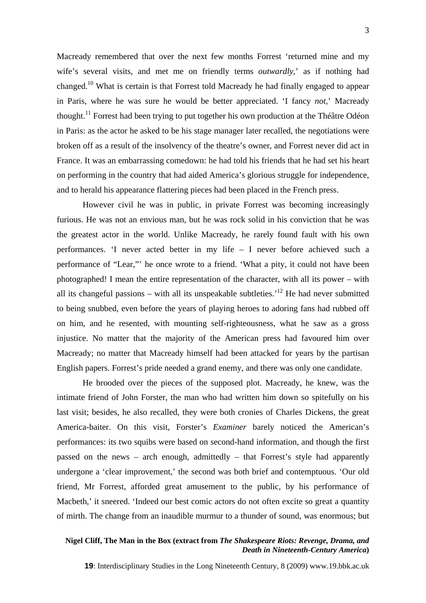Macready remembered that over the next few months Forrest 'returned mine and my wife's several visits, and met me on friendly terms *outwardly*,' as if nothing had changed.<sup>10</sup> What is certain is that Forrest told Macready he had finally engaged to appear in Paris, where he was sure he would be better appreciated. 'I fancy *not*,' Macready thought.<sup>11</sup> Forrest had been trying to put together his own production at the Théâtre Odéon in Paris: as the actor he asked to be his stage manager later recalled, the negotiations were broken off as a result of the insolvency of the theatre's owner, and Forrest never did act in France. It was an embarrassing comedown: he had told his friends that he had set his heart on performing in the country that had aided America's glorious struggle for independence, and to herald his appearance flattering pieces had been placed in the French press.

However civil he was in public, in private Forrest was becoming increasingly furious. He was not an envious man, but he was rock solid in his conviction that he was the greatest actor in the world. Unlike Macready, he rarely found fault with his own performances. 'I never acted better in my life – I never before achieved such a performance of "Lear,"' he once wrote to a friend. 'What a pity, it could not have been photographed! I mean the entire representation of the character, with all its power – with all its changeful passions – with all its unspeakable subtleties.<sup>12</sup> He had never submitted to being snubbed, even before the years of playing heroes to adoring fans had rubbed off on him, and he resented, with mounting self-righteousness, what he saw as a gross injustice. No matter that the majority of the American press had favoured him over Macready; no matter that Macready himself had been attacked for years by the partisan English papers. Forrest's pride needed a grand enemy, and there was only one candidate.

He brooded over the pieces of the supposed plot. Macready, he knew, was the intimate friend of John Forster, the man who had written him down so spitefully on his last visit; besides, he also recalled, they were both cronies of Charles Dickens, the great America-baiter. On this visit, Forster's *Examiner* barely noticed the American's performances: its two squibs were based on second-hand information, and though the first passed on the news – arch enough, admittedly – that Forrest's style had apparently undergone a 'clear improvement,' the second was both brief and contemptuous. 'Our old friend, Mr Forrest, afforded great amusement to the public, by his performance of Macbeth,' it sneered. 'Indeed our best comic actors do not often excite so great a quantity of mirth. The change from an inaudible murmur to a thunder of sound, was enormous; but

#### **Nigel Cliff, The Man in the Box (extract from** *The Shakespeare Riots: Revenge, Drama, and Death in Nineteenth-Century America***)**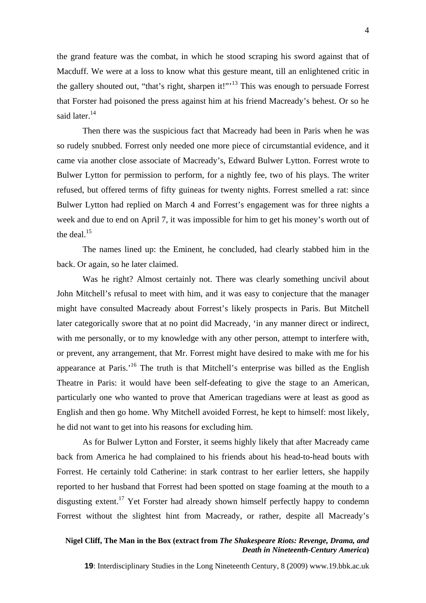the grand feature was the combat, in which he stood scraping his sword against that of Macduff. We were at a loss to know what this gesture meant, till an enlightened critic in the gallery shouted out, "that's right, sharpen it!"<sup>13</sup> This was enough to persuade Forrest that Forster had poisoned the press against him at his friend Macready's behest. Or so he said later.<sup>14</sup>

Then there was the suspicious fact that Macready had been in Paris when he was so rudely snubbed. Forrest only needed one more piece of circumstantial evidence, and it came via another close associate of Macready's, Edward Bulwer Lytton. Forrest wrote to Bulwer Lytton for permission to perform, for a nightly fee, two of his plays. The writer refused, but offered terms of fifty guineas for twenty nights. Forrest smelled a rat: since Bulwer Lytton had replied on March 4 and Forrest's engagement was for three nights a week and due to end on April 7, it was impossible for him to get his money's worth out of the deal.<sup>15</sup>

The names lined up: the Eminent, he concluded, had clearly stabbed him in the back. Or again, so he later claimed.

Was he right? Almost certainly not. There was clearly something uncivil about John Mitchell's refusal to meet with him, and it was easy to conjecture that the manager might have consulted Macready about Forrest's likely prospects in Paris. But Mitchell later categorically swore that at no point did Macready, 'in any manner direct or indirect, with me personally, or to my knowledge with any other person, attempt to interfere with, or prevent, any arrangement, that Mr. Forrest might have desired to make with me for his appearance at Paris.<sup>'16</sup> The truth is that Mitchell's enterprise was billed as the English Theatre in Paris: it would have been self-defeating to give the stage to an American, particularly one who wanted to prove that American tragedians were at least as good as English and then go home. Why Mitchell avoided Forrest, he kept to himself: most likely, he did not want to get into his reasons for excluding him.

As for Bulwer Lytton and Forster, it seems highly likely that after Macready came back from America he had complained to his friends about his head-to-head bouts with Forrest. He certainly told Catherine: in stark contrast to her earlier letters, she happily reported to her husband that Forrest had been spotted on stage foaming at the mouth to a disgusting extent.<sup>17</sup> Yet Forster had already shown himself perfectly happy to condemn Forrest without the slightest hint from Macready, or rather, despite all Macready's

## **Nigel Cliff, The Man in the Box (extract from** *The Shakespeare Riots: Revenge, Drama, and Death in Nineteenth-Century America***)**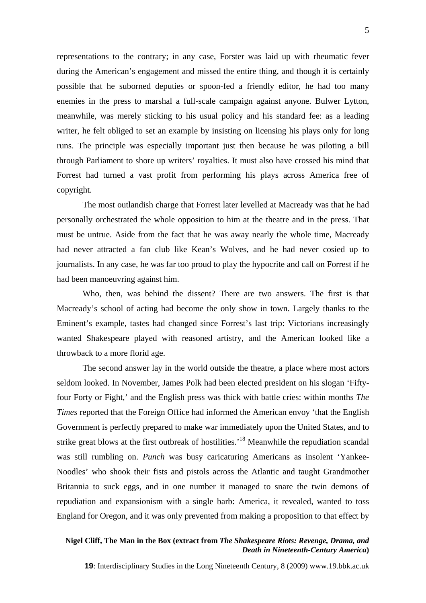representations to the contrary; in any case, Forster was laid up with rheumatic fever during the American's engagement and missed the entire thing, and though it is certainly possible that he suborned deputies or spoon-fed a friendly editor, he had too many enemies in the press to marshal a full-scale campaign against anyone. Bulwer Lytton, meanwhile, was merely sticking to his usual policy and his standard fee: as a leading writer, he felt obliged to set an example by insisting on licensing his plays only for long runs. The principle was especially important just then because he was piloting a bill through Parliament to shore up writers' royalties. It must also have crossed his mind that Forrest had turned a vast profit from performing his plays across America free of copyright.

The most outlandish charge that Forrest later levelled at Macready was that he had personally orchestrated the whole opposition to him at the theatre and in the press. That must be untrue. Aside from the fact that he was away nearly the whole time, Macready had never attracted a fan club like Kean's Wolves, and he had never cosied up to journalists. In any case, he was far too proud to play the hypocrite and call on Forrest if he had been manoeuvring against him.

Who, then, was behind the dissent? There are two answers. The first is that Macready's school of acting had become the only show in town. Largely thanks to the Eminent's example, tastes had changed since Forrest's last trip: Victorians increasingly wanted Shakespeare played with reasoned artistry, and the American looked like a throwback to a more florid age.

The second answer lay in the world outside the theatre, a place where most actors seldom looked. In November, James Polk had been elected president on his slogan 'Fiftyfour Forty or Fight,' and the English press was thick with battle cries: within months *The Times* reported that the Foreign Office had informed the American envoy 'that the English Government is perfectly prepared to make war immediately upon the United States, and to strike great blows at the first outbreak of hostilities.<sup>18</sup> Meanwhile the repudiation scandal was still rumbling on. *Punch* was busy caricaturing Americans as insolent 'Yankee-Noodles' who shook their fists and pistols across the Atlantic and taught Grandmother Britannia to suck eggs, and in one number it managed to snare the twin demons of repudiation and expansionism with a single barb: America, it revealed, wanted to toss England for Oregon, and it was only prevented from making a proposition to that effect by

#### **Nigel Cliff, The Man in the Box (extract from** *The Shakespeare Riots: Revenge, Drama, and Death in Nineteenth-Century America***)**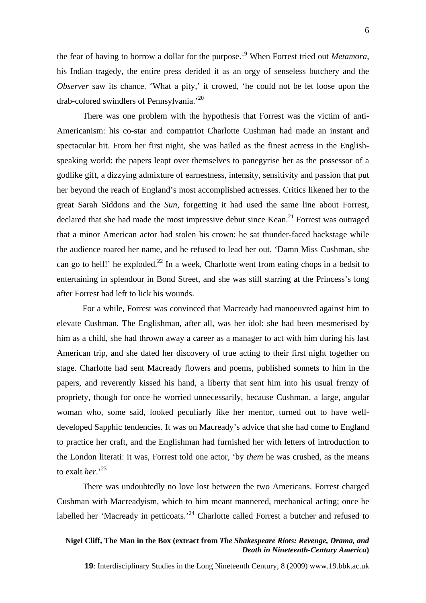the fear of having to borrow a dollar for the purpose.<sup>19</sup> When Forrest tried out *Metamora*, his Indian tragedy, the entire press derided it as an orgy of senseless butchery and the *Observer* saw its chance. 'What a pity,' it crowed, 'he could not be let loose upon the drab-colored swindlers of Pennsylvania.<sup>'20</sup>

There was one problem with the hypothesis that Forrest was the victim of anti-Americanism: his co-star and compatriot Charlotte Cushman had made an instant and spectacular hit. From her first night, she was hailed as the finest actress in the Englishspeaking world: the papers leapt over themselves to panegyrise her as the possessor of a godlike gift, a dizzying admixture of earnestness, intensity, sensitivity and passion that put her beyond the reach of England's most accomplished actresses. Critics likened her to the great Sarah Siddons and the *Sun*, forgetting it had used the same line about Forrest, declared that she had made the most impressive debut since Kean.<sup>21</sup> Forrest was outraged that a minor American actor had stolen his crown: he sat thunder-faced backstage while the audience roared her name, and he refused to lead her out. 'Damn Miss Cushman, she can go to hell!' he exploded.<sup>22</sup> In a week, Charlotte went from eating chops in a bedsit to entertaining in splendour in Bond Street, and she was still starring at the Princess's long after Forrest had left to lick his wounds.

For a while, Forrest was convinced that Macready had manoeuvred against him to elevate Cushman. The Englishman, after all, was her idol: she had been mesmerised by him as a child, she had thrown away a career as a manager to act with him during his last American trip, and she dated her discovery of true acting to their first night together on stage. Charlotte had sent Macready flowers and poems, published sonnets to him in the papers, and reverently kissed his hand, a liberty that sent him into his usual frenzy of propriety, though for once he worried unnecessarily, because Cushman, a large, angular woman who, some said, looked peculiarly like her mentor, turned out to have welldeveloped Sapphic tendencies. It was on Macready's advice that she had come to England to practice her craft, and the Englishman had furnished her with letters of introduction to the London literati: it was, Forrest told one actor, 'by *them* he was crushed, as the means to exalt *her*.'<sup>23</sup>

There was undoubtedly no love lost between the two Americans. Forrest charged Cushman with Macreadyism, which to him meant mannered, mechanical acting; once he labelled her 'Macready in petticoats.<sup>24</sup> Charlotte called Forrest a butcher and refused to

#### **Nigel Cliff, The Man in the Box (extract from** *The Shakespeare Riots: Revenge, Drama, and Death in Nineteenth-Century America***)**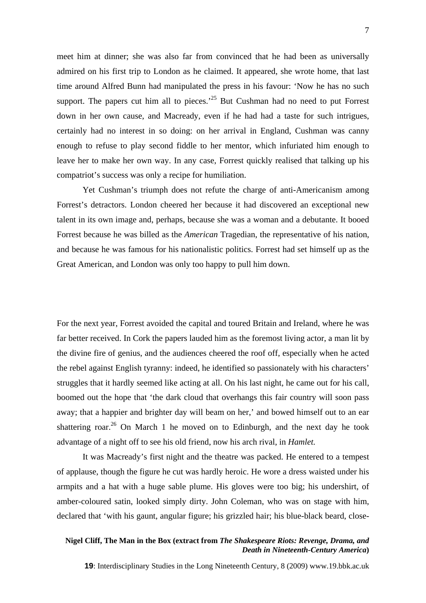meet him at dinner; she was also far from convinced that he had been as universally admired on his first trip to London as he claimed. It appeared, she wrote home, that last time around Alfred Bunn had manipulated the press in his favour: 'Now he has no such support. The papers cut him all to pieces.<sup> $25$ </sup> But Cushman had no need to put Forrest down in her own cause, and Macready, even if he had had a taste for such intrigues, certainly had no interest in so doing: on her arrival in England, Cushman was canny enough to refuse to play second fiddle to her mentor, which infuriated him enough to leave her to make her own way. In any case, Forrest quickly realised that talking up his compatriot's success was only a recipe for humiliation.

Yet Cushman's triumph does not refute the charge of anti-Americanism among Forrest's detractors. London cheered her because it had discovered an exceptional new talent in its own image and, perhaps, because she was a woman and a debutante. It booed Forrest because he was billed as the *American* Tragedian, the representative of his nation, and because he was famous for his nationalistic politics. Forrest had set himself up as the Great American, and London was only too happy to pull him down.

For the next year, Forrest avoided the capital and toured Britain and Ireland, where he was far better received. In Cork the papers lauded him as the foremost living actor, a man lit by the divine fire of genius, and the audiences cheered the roof off, especially when he acted the rebel against English tyranny: indeed, he identified so passionately with his characters' struggles that it hardly seemed like acting at all. On his last night, he came out for his call, boomed out the hope that 'the dark cloud that overhangs this fair country will soon pass away; that a happier and brighter day will beam on her,' and bowed himself out to an ear shattering roar.<sup>26</sup> On March 1 he moved on to Edinburgh, and the next day he took advantage of a night off to see his old friend, now his arch rival, in *Hamlet.*

 It was Macready's first night and the theatre was packed. He entered to a tempest of applause, though the figure he cut was hardly heroic. He wore a dress waisted under his armpits and a hat with a huge sable plume. His gloves were too big; his undershirt, of amber-coloured satin, looked simply dirty. John Coleman, who was on stage with him, declared that 'with his gaunt, angular figure; his grizzled hair; his blue-black beard, close-

## **Nigel Cliff, The Man in the Box (extract from** *The Shakespeare Riots: Revenge, Drama, and Death in Nineteenth-Century America***)**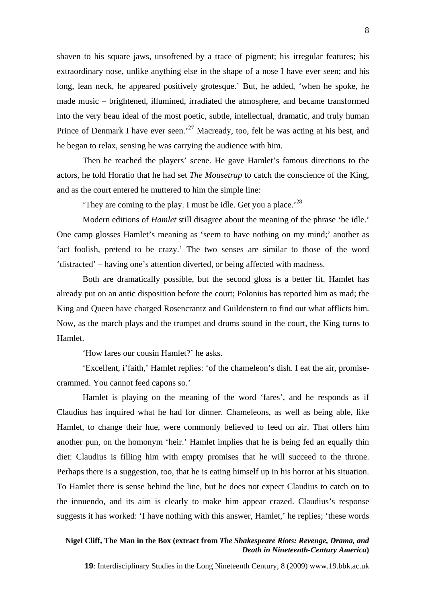shaven to his square jaws, unsoftened by a trace of pigment; his irregular features; his extraordinary nose, unlike anything else in the shape of a nose I have ever seen; and his long, lean neck, he appeared positively grotesque.' But, he added, 'when he spoke, he made music – brightened, illumined, irradiated the atmosphere, and became transformed into the very beau ideal of the most poetic, subtle, intellectual, dramatic, and truly human Prince of Denmark I have ever seen.<sup>27</sup> Macready, too, felt he was acting at his best, and he began to relax, sensing he was carrying the audience with him.

Then he reached the players' scene. He gave Hamlet's famous directions to the actors, he told Horatio that he had set *The Mousetrap* to catch the conscience of the King, and as the court entered he muttered to him the simple line:

'They are coming to the play. I must be idle. Get you a place.'28

Modern editions of *Hamlet* still disagree about the meaning of the phrase 'be idle.' One camp glosses Hamlet's meaning as 'seem to have nothing on my mind;' another as 'act foolish, pretend to be crazy.' The two senses are similar to those of the word 'distracted' – having one's attention diverted, or being affected with madness.

Both are dramatically possible, but the second gloss is a better fit. Hamlet has already put on an antic disposition before the court; Polonius has reported him as mad; the King and Queen have charged Rosencrantz and Guildenstern to find out what afflicts him. Now, as the march plays and the trumpet and drums sound in the court, the King turns to Hamlet.

'How fares our cousin Hamlet?' he asks.

'Excellent, i'faith,' Hamlet replies: 'of the chameleon's dish. I eat the air, promisecrammed. You cannot feed capons so.'

 Hamlet is playing on the meaning of the word 'fares', and he responds as if Claudius has inquired what he had for dinner. Chameleons, as well as being able, like Hamlet, to change their hue, were commonly believed to feed on air. That offers him another pun, on the homonym 'heir.' Hamlet implies that he is being fed an equally thin diet: Claudius is filling him with empty promises that he will succeed to the throne. Perhaps there is a suggestion, too, that he is eating himself up in his horror at his situation. To Hamlet there is sense behind the line, but he does not expect Claudius to catch on to the innuendo, and its aim is clearly to make him appear crazed. Claudius's response suggests it has worked: 'I have nothing with this answer, Hamlet,' he replies; 'these words

### **Nigel Cliff, The Man in the Box (extract from** *The Shakespeare Riots: Revenge, Drama, and Death in Nineteenth-Century America***)**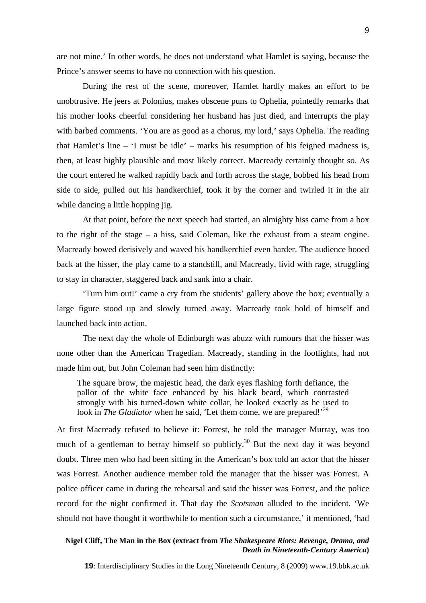are not mine.' In other words, he does not understand what Hamlet is saying, because the Prince's answer seems to have no connection with his question.

During the rest of the scene, moreover, Hamlet hardly makes an effort to be unobtrusive. He jeers at Polonius, makes obscene puns to Ophelia, pointedly remarks that his mother looks cheerful considering her husband has just died, and interrupts the play with barbed comments. 'You are as good as a chorus, my lord,' says Ophelia. The reading that Hamlet's line – 'I must be idle' – marks his resumption of his feigned madness is, then, at least highly plausible and most likely correct. Macready certainly thought so. As the court entered he walked rapidly back and forth across the stage, bobbed his head from side to side, pulled out his handkerchief, took it by the corner and twirled it in the air while dancing a little hopping jig.

At that point, before the next speech had started, an almighty hiss came from a box to the right of the stage – a hiss, said Coleman, like the exhaust from a steam engine. Macready bowed derisively and waved his handkerchief even harder. The audience booed back at the hisser, the play came to a standstill, and Macready, livid with rage, struggling to stay in character, staggered back and sank into a chair.

'Turn him out!' came a cry from the students' gallery above the box; eventually a large figure stood up and slowly turned away. Macready took hold of himself and launched back into action.

 The next day the whole of Edinburgh was abuzz with rumours that the hisser was none other than the American Tragedian. Macready, standing in the footlights, had not made him out, but John Coleman had seen him distinctly:

The square brow, the majestic head, the dark eyes flashing forth defiance, the pallor of the white face enhanced by his black beard, which contrasted strongly with his turned-down white collar, he looked exactly as he used to look in *The Gladiator* when he said, 'Let them come, we are prepared!'<sup>29</sup>

At first Macready refused to believe it: Forrest, he told the manager Murray, was too much of a gentleman to betray himself so publicly.<sup>30</sup> But the next day it was beyond doubt. Three men who had been sitting in the American's box told an actor that the hisser was Forrest. Another audience member told the manager that the hisser was Forrest. A police officer came in during the rehearsal and said the hisser was Forrest, and the police record for the night confirmed it. That day the *Scotsman* alluded to the incident. 'We should not have thought it worthwhile to mention such a circumstance,' it mentioned, 'had

### **Nigel Cliff, The Man in the Box (extract from** *The Shakespeare Riots: Revenge, Drama, and Death in Nineteenth-Century America***)**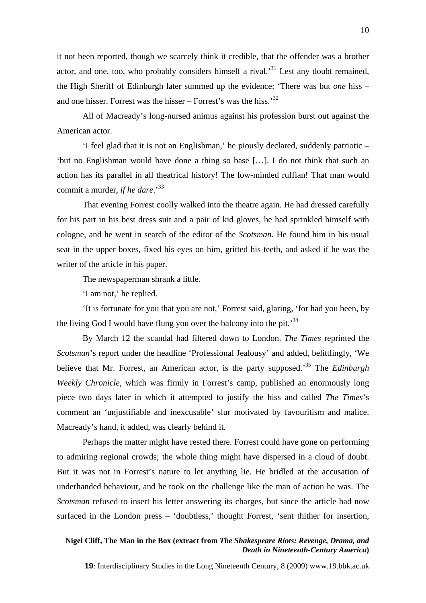it not been reported, though we scarcely think it credible, that the offender was a brother actor, and one, too, who probably considers himself a rival.<sup>31</sup> Lest any doubt remained, the High Sheriff of Edinburgh later summed up the evidence: 'There was but *one* hiss – and one hisser. Forrest was the hisser – Forrest's was the hiss.'<sup>32</sup>

All of Macready's long-nursed animus against his profession burst out against the American actor.

'I feel glad that it is not an Englishman,' he piously declared, suddenly patriotic – 'but no Englishman would have done a thing so base […]. I do not think that such an action has its parallel in all theatrical history! The low-minded ruffian! That man would commit a murder, *if he dare*.'33

That evening Forrest coolly walked into the theatre again. He had dressed carefully for his part in his best dress suit and a pair of kid gloves, he had sprinkled himself with cologne, and he went in search of the editor of the *Scotsman.* He found him in his usual seat in the upper boxes, fixed his eyes on him, gritted his teeth, and asked if he was the writer of the article in his paper.

The newspaperman shrank a little.

'I am not,' he replied.

'It is fortunate for you that you are not,' Forrest said, glaring, 'for had you been, by the living God I would have flung you over the balcony into the pit.<sup>34</sup>

By March 12 the scandal had filtered down to London. *The Times* reprinted the *Scotsman*'s report under the headline 'Professional Jealousy' and added, belittlingly, 'We believe that Mr. Forrest, an American actor, is the party supposed.'35 The *Edinburgh Weekly Chronicle*, which was firmly in Forrest's camp, published an enormously long piece two days later in which it attempted to justify the hiss and called *The Times*'s comment an 'unjustifiable and inexcusable' slur motivated by favouritism and malice. Macready's hand, it added, was clearly behind it.

Perhaps the matter might have rested there. Forrest could have gone on performing to admiring regional crowds; the whole thing might have dispersed in a cloud of doubt. But it was not in Forrest's nature to let anything lie. He bridled at the accusation of underhanded behaviour, and he took on the challenge like the man of action he was. The *Scotsman* refused to insert his letter answering its charges, but since the article had now surfaced in the London press – 'doubtless,' thought Forrest, 'sent thither for insertion,

## **Nigel Cliff, The Man in the Box (extract from** *The Shakespeare Riots: Revenge, Drama, and Death in Nineteenth-Century America***)**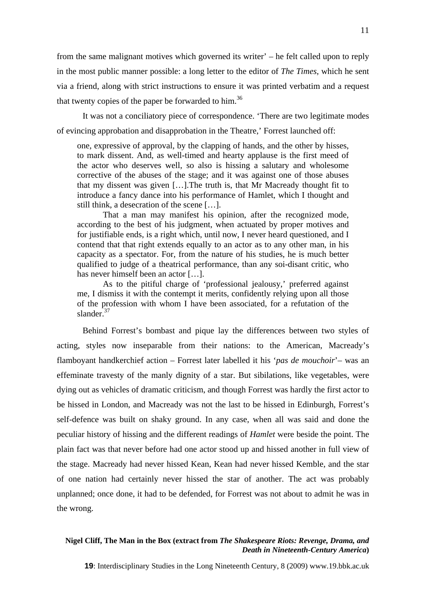from the same malignant motives which governed its writer' – he felt called upon to reply in the most public manner possible: a long letter to the editor of *The Times*, which he sent via a friend, along with strict instructions to ensure it was printed verbatim and a request that twenty copies of the paper be forwarded to him.<sup>36</sup>

It was not a conciliatory piece of correspondence. 'There are two legitimate modes of evincing approbation and disapprobation in the Theatre,' Forrest launched off:

one, expressive of approval, by the clapping of hands, and the other by hisses, to mark dissent. And, as well-timed and hearty applause is the first meed of the actor who deserves well, so also is hissing a salutary and wholesome corrective of the abuses of the stage; and it was against one of those abuses that my dissent was given […].The truth is, that Mr Macready thought fit to introduce a fancy dance into his performance of Hamlet, which I thought and still think, a desecration of the scene […].

That a man may manifest his opinion, after the recognized mode, according to the best of his judgment, when actuated by proper motives and for justifiable ends, is a right which, until now, I never heard questioned, and I contend that that right extends equally to an actor as to any other man, in his capacity as a spectator. For, from the nature of his studies, he is much better qualified to judge of a theatrical performance, than any soi-disant critic, who has never himself been an actor [...].

As to the pitiful charge of 'professional jealousy,' preferred against me, I dismiss it with the contempt it merits, confidently relying upon all those of the profession with whom I have been associated, for a refutation of the slander.<sup>37</sup>

Behind Forrest's bombast and pique lay the differences between two styles of acting, styles now inseparable from their nations: to the American, Macready's flamboyant handkerchief action – Forrest later labelled it his '*pas de mouchoir*'– was an effeminate travesty of the manly dignity of a star. But sibilations, like vegetables, were dying out as vehicles of dramatic criticism, and though Forrest was hardly the first actor to be hissed in London, and Macready was not the last to be hissed in Edinburgh, Forrest's self-defence was built on shaky ground. In any case, when all was said and done the peculiar history of hissing and the different readings of *Hamlet* were beside the point. The plain fact was that never before had one actor stood up and hissed another in full view of the stage. Macready had never hissed Kean, Kean had never hissed Kemble, and the star of one nation had certainly never hissed the star of another. The act was probably unplanned; once done, it had to be defended, for Forrest was not about to admit he was in the wrong.

## **Nigel Cliff, The Man in the Box (extract from** *The Shakespeare Riots: Revenge, Drama, and Death in Nineteenth-Century America***)**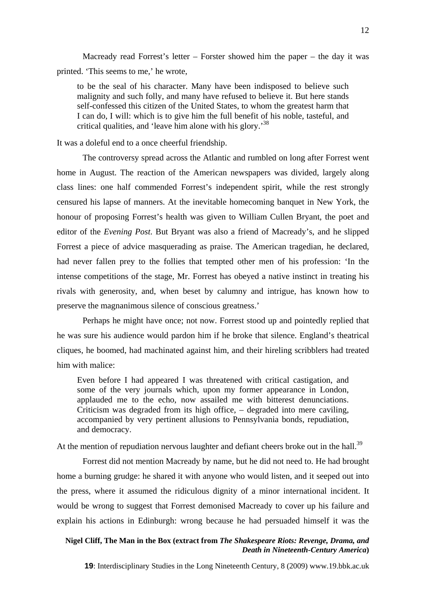Macready read Forrest's letter – Forster showed him the paper – the day it was printed. 'This seems to me,' he wrote,

to be the seal of his character. Many have been indisposed to believe such malignity and such folly, and many have refused to believe it. But here stands self-confessed this citizen of the United States, to whom the greatest harm that I can do, I will: which is to give him the full benefit of his noble, tasteful, and critical qualities, and 'leave him alone with his glory.'38

It was a doleful end to a once cheerful friendship.

 The controversy spread across the Atlantic and rumbled on long after Forrest went home in August. The reaction of the American newspapers was divided, largely along class lines: one half commended Forrest's independent spirit, while the rest strongly censured his lapse of manners. At the inevitable homecoming banquet in New York, the honour of proposing Forrest's health was given to William Cullen Bryant, the poet and editor of the *Evening Post*. But Bryant was also a friend of Macready's, and he slipped Forrest a piece of advice masquerading as praise. The American tragedian, he declared, had never fallen prey to the follies that tempted other men of his profession: 'In the intense competitions of the stage, Mr. Forrest has obeyed a native instinct in treating his rivals with generosity, and, when beset by calumny and intrigue, has known how to preserve the magnanimous silence of conscious greatness.'

Perhaps he might have once; not now. Forrest stood up and pointedly replied that he was sure his audience would pardon him if he broke that silence. England's theatrical cliques, he boomed, had machinated against him, and their hireling scribblers had treated him with malice:

Even before I had appeared I was threatened with critical castigation, and some of the very journals which, upon my former appearance in London, applauded me to the echo, now assailed me with bitterest denunciations. Criticism was degraded from its high office, – degraded into mere caviling, accompanied by very pertinent allusions to Pennsylvania bonds, repudiation, and democracy.

At the mention of repudiation nervous laughter and defiant cheers broke out in the hall.<sup>39</sup>

Forrest did not mention Macready by name, but he did not need to. He had brought home a burning grudge: he shared it with anyone who would listen, and it seeped out into the press, where it assumed the ridiculous dignity of a minor international incident. It would be wrong to suggest that Forrest demonised Macready to cover up his failure and explain his actions in Edinburgh: wrong because he had persuaded himself it was the

## **Nigel Cliff, The Man in the Box (extract from** *The Shakespeare Riots: Revenge, Drama, and Death in Nineteenth-Century America***)**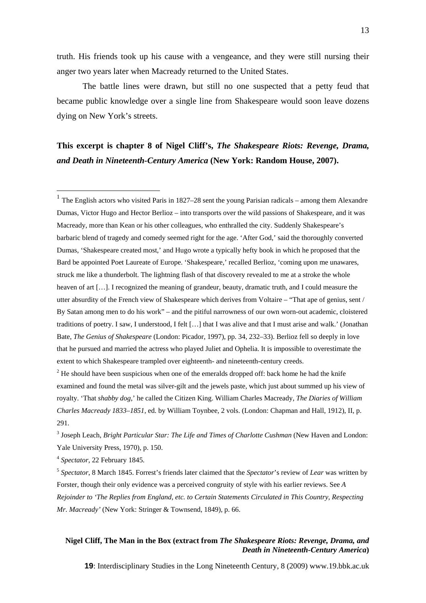truth. His friends took up his cause with a vengeance, and they were still nursing their anger two years later when Macready returned to the United States.

The battle lines were drawn, but still no one suspected that a petty feud that became public knowledge over a single line from Shakespeare would soon leave dozens dying on New York's streets.

**This excerpt is chapter 8 of Nigel Cliff's,** *The Shakespeare Riots: Revenge, Drama, and Death in Nineteenth-Century America* **(New York: Random House, 2007).** 

<sup>3</sup> Joseph Leach, *Bright Particular Star: The Life and Times of Charlotte Cushman (New Haven and London:* Yale University Press, 1970), p. 150.

<sup>4</sup> *Spectator*, 22 February 1845.

 $\overline{a}$ 

<sup>5</sup> *Spectator*, 8 March 1845. Forrest's friends later claimed that the *Spectator*'s review of *Lear* was written by Forster, though their only evidence was a perceived congruity of style with his earlier reviews. See *A Rejoinder to 'The Replies from England, etc. to Certain Statements Circulated in This Country, Respecting Mr. Macready'* (New York: Stringer & Townsend, 1849), p. 66.

### **Nigel Cliff, The Man in the Box (extract from** *The Shakespeare Riots: Revenge, Drama, and Death in Nineteenth-Century America***)**

<sup>&</sup>lt;sup>1</sup> The English actors who visited Paris in 1827–28 sent the young Parisian radicals – among them Alexandre Dumas, Victor Hugo and Hector Berlioz – into transports over the wild passions of Shakespeare, and it was Macready, more than Kean or his other colleagues, who enthralled the city. Suddenly Shakespeare's barbaric blend of tragedy and comedy seemed right for the age. 'After God,' said the thoroughly converted Dumas, 'Shakespeare created most,' and Hugo wrote a typically hefty book in which he proposed that the Bard be appointed Poet Laureate of Europe. 'Shakespeare,' recalled Berlioz, 'coming upon me unawares, struck me like a thunderbolt. The lightning flash of that discovery revealed to me at a stroke the whole heaven of art [...]. I recognized the meaning of grandeur, beauty, dramatic truth, and I could measure the utter absurdity of the French view of Shakespeare which derives from Voltaire – "That ape of genius, sent / By Satan among men to do his work" – and the pitiful narrowness of our own worn-out academic, cloistered traditions of poetry. I saw, I understood, I felt […] that I was alive and that I must arise and walk.' (Jonathan Bate, *The Genius of Shakespeare* (London: Picador, 1997), pp. 34, 232–33). Berlioz fell so deeply in love that he pursued and married the actress who played Juliet and Ophelia. It is impossible to overestimate the extent to which Shakespeare trampled over eighteenth- and nineteenth-century creeds.

 $2<sup>2</sup>$  He should have been suspicious when one of the emeralds dropped off: back home he had the knife examined and found the metal was silver-gilt and the jewels paste, which just about summed up his view of royalty. 'That *shabby dog*,' he called the Citizen King. William Charles Macready, *The Diaries of William Charles Macready 1833–1851,* ed. by William Toynbee, 2 vols. (London: Chapman and Hall, 1912), II, p. 291.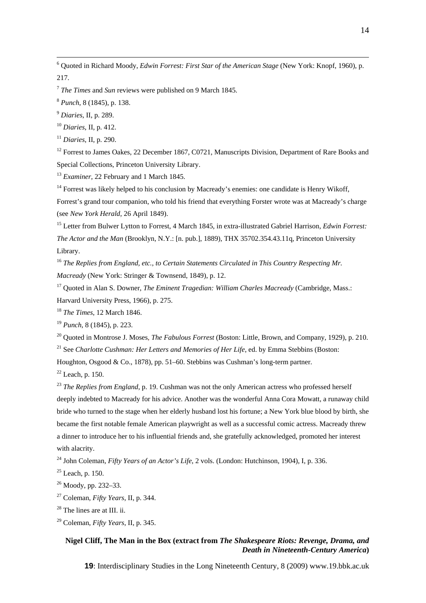$\frac{1}{6}$  Quoted in Richard Moody, *Edwin Forrest: First Star of the American Stage* (New York: Knopf, 1960), p. 217.

<sup>7</sup> *The Times* and *Sun* reviews were published on 9 March 1845.

<sup>8</sup> *Punch*, 8 (1845), p. 138.

<sup>9</sup> *Diaries*, II, p. 289.

<sup>10</sup> *Diaries*, II, p. 412.

<sup>11</sup> *Diaries*, II, p. 290.

<sup>12</sup> Forrest to James Oakes, 22 December 1867, C0721, Manuscripts Division, Department of Rare Books and Special Collections, Princeton University Library.

<sup>13</sup> *Examiner*, 22 February and 1 March 1845.

<sup>14</sup> Forrest was likely helped to his conclusion by Macready's enemies: one candidate is Henry Wikoff, Forrest's grand tour companion, who told his friend that everything Forster wrote was at Macready's charge (see *New York Herald,* 26 April 1849).

15 Letter from Bulwer Lytton to Forrest, 4 March 1845, in extra-illustrated Gabriel Harrison*, Edwin Forrest: The Actor and the Man* (Brooklyn, N.Y.: [n. pub.], 1889), THX 35702.354.43.11q, Princeton University Library.

<sup>16</sup> The Replies from England, etc., to Certain Statements Circulated in This Country Respecting Mr. *Macready* (New York: Stringer & Townsend, 1849), p. 12.

<sup>17</sup> Quoted in Alan S. Downer, *The Eminent Tragedian: William Charles Macready* (Cambridge, Mass.: Harvard University Press, 1966), p. 275.

<sup>18</sup> *The Times*, 12 March 1846.

<sup>19</sup> *Punch*, 8 (1845), p. 223.

<sup>20</sup> Quoted in Montrose J. Moses, *The Fabulous Forrest* (Boston: Little, Brown, and Company, 1929), p. 210.

<sup>21</sup> See *Charlotte Cushman: Her Letters and Memories of Her Life*, ed. by Emma Stebbins (Boston:

Houghton, Osgood & Co., 1878), pp. 51–60. Stebbins was Cushman's long-term partner.

 $22$  Leach, p. 150.

<sup>23</sup> *The Replies from England*, p. 19. Cushman was not the only American actress who professed herself deeply indebted to Macready for his advice. Another was the wonderful Anna Cora Mowatt, a runaway child bride who turned to the stage when her elderly husband lost his fortune; a New York blue blood by birth, she became the first notable female American playwright as well as a successful comic actress. Macready threw a dinner to introduce her to his influential friends and, she gratefully acknowledged, promoted her interest with alacrity.

24 John Coleman, *Fifty Years of an Actor's Life*, 2 vols. (London: Hutchinson, 1904), I, p. 336.

 $25$  Leach, p. 150.

26 Moody, pp. 232–33.

27 Coleman, *Fifty Years*, II, p. 344.

<sup>28</sup> The lines are at III. ii.

29 Coleman, *Fifty Years*, II, p. 345.

## **Nigel Cliff, The Man in the Box (extract from** *The Shakespeare Riots: Revenge, Drama, and Death in Nineteenth-Century America***)**